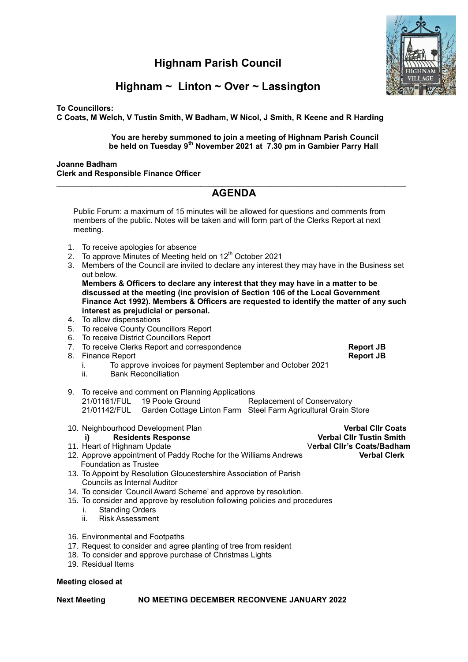# **Highnam Parish Council**



# **Highnam ~ Linton ~ Over ~ Lassington**

**To Councillors:**

**C Coats, M Welch, V Tustin Smith, W Badham, W Nicol, J Smith, R Keene and R Harding** 

### **You are hereby summoned to join a meeting of Highnam Parish Council be held on Tuesday 9th November 2021 at 7.30 pm in Gambier Parry Hall**

#### **Joanne Badham Clerk and Responsible Finance Officer**

## $\_$  , and the set of the set of the set of the set of the set of the set of the set of the set of the set of the set of the set of the set of the set of the set of the set of the set of the set of the set of the set of th **AGENDA**

Public Forum: a maximum of 15 minutes will be allowed for questions and comments from members of the public. Notes will be taken and will form part of the Clerks Report at next meeting.

- 1. To receive apologies for absence
- 2. To approve Minutes of Meeting held on 12<sup>th</sup> October 2021
- 3. Members of the Council are invited to declare any interest they may have in the Business set out below.

**Members & Officers to declare any interest that they may have in a matter to be discussed at the meeting (inc provision of Section 106 of the Local Government Finance Act 1992). Members & Officers are requested to identify the matter of any such interest as prejudicial or personal.**

- 4. To allow dispensations
- 5. To receive County Councillors Report
- 6. To receive District Councillors Report
- 7. To receive Clerks Report and correspondence **Report JB**
- 8. Finance Report **Report JB**
	- i. To approve invoices for payment September and October 2021
	- ii. Bank Reconciliation
- 9. To receive and comment on Planning Applications 21/01161/FUL 19 Poole Ground Replacement of Conservatory 21/01142/FUL Garden Cottage Linton Farm Steel Farm Agricultural Grain Store
- 10. Neighbourhood Development Plan **Verbal Cllr Coats** i) **Residents Response Communist Club Verbal Clir Tustin Smith New York:** 11. Heart of Highnam Update V**erbal Cllr's Coats/Badham**  12. Approve appointment of Paddy Roche for the Williams Andrews Foundation as Trustee
- 13. To Appoint by Resolution Gloucestershire Association of Parish Councils as Internal Auditor
- 14. To consider 'Council Award Scheme' and approve by resolution.
- 15. To consider and approve by resolution following policies and procedures
	- i. Standing Orders
	- ii. Risk Assessment
- 16. Environmental and Footpaths
- 17. Request to consider and agree planting of tree from resident
- 18. To consider and approve purchase of Christmas Lights
- 19. Residual Items

### **Meeting closed at**

**Next Meeting NO MEETING DECEMBER RECONVENE JANUARY 2022**